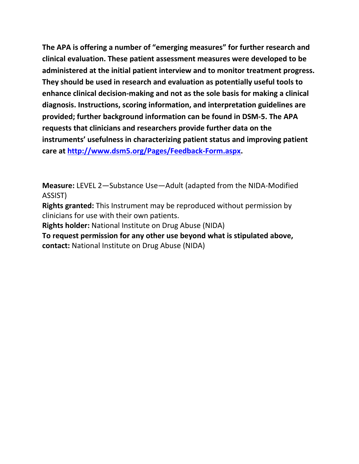**The APA is offering a number of "emerging measures" for further research and clinical evaluation. These patient assessment measures were developed to be administered at the initial patient interview and to monitor treatment progress. They should be used in research and evaluation as potentially useful tools to enhance clinical decision-making and not as the sole basis for making a clinical diagnosis. Instructions, scoring information, and interpretation guidelines are provided; further background information can be found in DSM-5. The APA requests that clinicians and researchers provide further data on the instruments' usefulness in characterizing patient status and improving patient care at [http://www.dsm5.org/Pages/Feedback-Form.aspx.](http://www.dsm5.org/Pages/Feedback-Form.aspx)**

**Measure:** LEVEL 2—Substance Use—Adult (adapted from the NIDA-Modified ASSIST)

**Rights granted:** This Instrument may be reproduced without permission by clinicians for use with their own patients.

**Rights holder:** National Institute on Drug Abuse (NIDA)

**To request permission for any other use beyond what is stipulated above, contact:** National Institute on Drug Abuse (NIDA)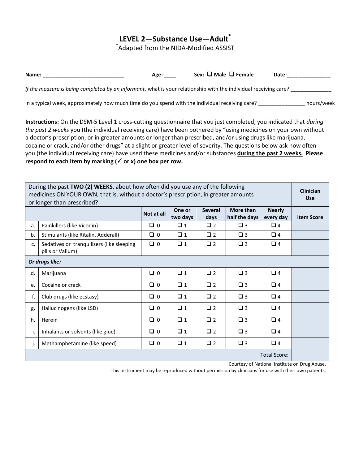## **LEVEL 2—Substance Use—Adult\***

\* Adapted from the NIDA-Modified ASSIST

| Name:                                                                                                            | Age: | Sex: $\Box$ Male $\Box$ Female | Date: |            |
|------------------------------------------------------------------------------------------------------------------|------|--------------------------------|-------|------------|
| If the measure is being completed by an informant, what is your relationship with the individual receiving care? |      |                                |       |            |
| In a typical week, approximately how much time do you spend with the individual receiving care?                  |      |                                |       | hours/week |

**Instructions:** On the DSM-5 Level 1 cross-cutting questionnaire that you just completed, you indicated that *during the past 2 weeks* you (the individual receiving care) have been bothered by "using medicines on your own without a doctor's prescription, or in greater amounts or longer than prescribed, and/or using drugs like marijuana, cocaine or crack, and/or other drugs" at a slight or greater level of severity. The questions below ask how often you (the individual receiving care) have used these medicines and/or substances **during the past 2 weeks. Please**  respond to each item by marking  $(\checkmark)$  or x) one box per row.

| During the past TWO (2) WEEKS, about how often did you use any of the following<br>medicines ON YOUR OWN, that is, without a doctor's prescription, in greater amounts<br>or longer than prescribed? |                                                               |            |                    |                        |                                   |                            |                   |  |
|------------------------------------------------------------------------------------------------------------------------------------------------------------------------------------------------------|---------------------------------------------------------------|------------|--------------------|------------------------|-----------------------------------|----------------------------|-------------------|--|
|                                                                                                                                                                                                      |                                                               | Not at all | One or<br>two days | <b>Several</b><br>days | <b>More than</b><br>half the days | <b>Nearly</b><br>every day | <b>Item Score</b> |  |
| a.                                                                                                                                                                                                   | Painkillers (like Vicodin)                                    | $\Box$ 0   | $\Box$ 1           | $\Box$ 2               | $\Box$ 3                          | $\Box$ 4                   |                   |  |
| b.                                                                                                                                                                                                   | Stimulants (like Ritalin, Adderall)                           | $\Box$ 0   | $\Box$ 1           | $\Box$ 2               | $\Box$ 3                          | $\Box$ 4                   |                   |  |
| c.                                                                                                                                                                                                   | Sedatives or tranquilizers (like sleeping<br>pills or Valium) | $\Box$ 0   | $\Box$ 1           | $\Box$ 2               | $\Box$ 3                          | $\Box$ 4                   |                   |  |
| Or drugs like:                                                                                                                                                                                       |                                                               |            |                    |                        |                                   |                            |                   |  |
| d.                                                                                                                                                                                                   | Marijuana                                                     | $\Box$ 0   | $\Box$ 1           | $\Box$ 2               | $\Box$ 3                          | $\Box$ 4                   |                   |  |
| e.                                                                                                                                                                                                   | Cocaine or crack                                              | $\Box$ 0   | $\Box$ 1           | $\Box$ 2               | $\Box$ 3                          | $\Box$ 4                   |                   |  |
| f.                                                                                                                                                                                                   | Club drugs (like ecstasy)                                     | $\Box$ 0   | $\Box$ 1           | $\Box$ 2               | $\Box$ 3                          | $\Box$ 4                   |                   |  |
| g.                                                                                                                                                                                                   | Hallucinogens (like LSD)                                      | $\Box$ 0   | $\Box$ 1           | $\Box$ 2               | $\square$ 3                       | $\Box$ 4                   |                   |  |
| h.                                                                                                                                                                                                   | Heroin                                                        | $\Box$ 0   | $\Box$ 1           | $\Box$ 2               | $\Box$ 3                          | $\Box$ 4                   |                   |  |
| i.                                                                                                                                                                                                   | Inhalants or solvents (like glue)                             | $\Box$ 0   | $\Box$ 1           | $\Box$ 2               | $\square$ 3                       | $\Box$ 4                   |                   |  |
| j.                                                                                                                                                                                                   | Methamphetamine (like speed)                                  | $\Box$ 0   | $\Box$ 1           | $\Box$ 2               | $\square$ 3                       | $\Box$ 4                   |                   |  |
| <b>Total Score:</b>                                                                                                                                                                                  |                                                               |            |                    |                        |                                   |                            |                   |  |

Courtesy of National Institute on Drug Abuse.

This Instrument may be reproduced without permission by clinicians for use with their own patients.